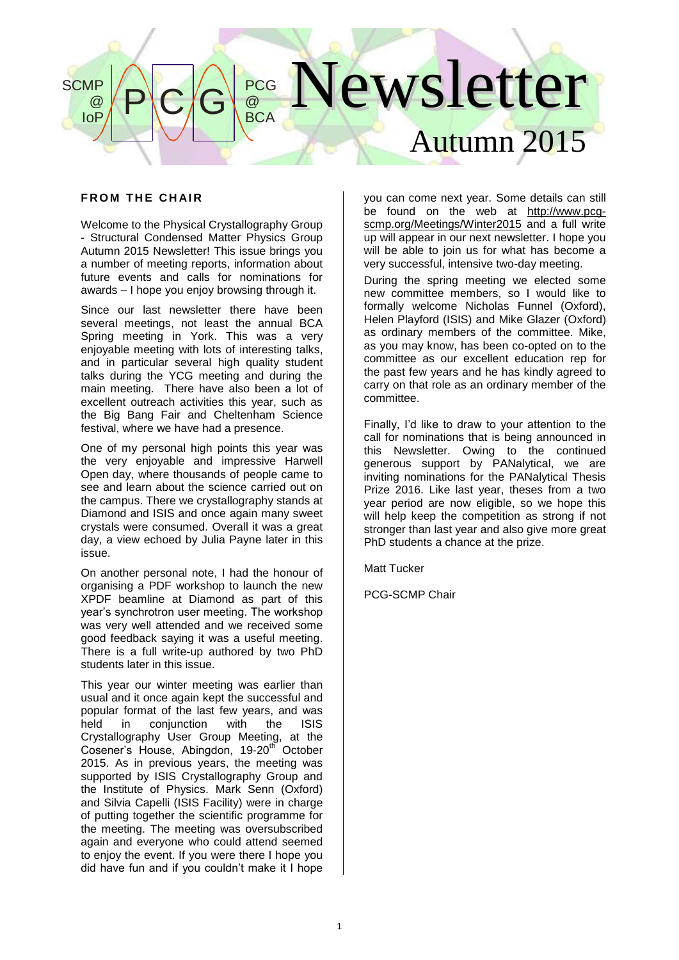# lewsletter Autumn 2015  $P$  $C/G$ **PCG** @ **BCA SCMP** @ IoP

# **FROM THE CHAIR**

Welcome to the Physical Crystallography Group - Structural Condensed Matter Physics Group Autumn 2015 Newsletter! This issue brings you a number of meeting reports, information about future events and calls for nominations for awards – I hope you enjoy browsing through it.

Since our last newsletter there have been several meetings, not least the annual BCA Spring meeting in York. This was a very enjoyable meeting with lots of interesting talks, and in particular several high quality student talks during the YCG meeting and during the main meeting. There have also been a lot of excellent outreach activities this year, such as the Big Bang Fair and Cheltenham Science festival, where we have had a presence.

One of my personal high points this year was the very enjoyable and impressive Harwell Open day, where thousands of people came to see and learn about the science carried out on the campus. There we crystallography stands at Diamond and ISIS and once again many sweet crystals were consumed. Overall it was a great day, a view echoed by Julia Payne later in this issue.

On another personal note, I had the honour of organising a PDF workshop to launch the new XPDF beamline at Diamond as part of this year's synchrotron user meeting. The workshop was very well attended and we received some good feedback saying it was a useful meeting. There is a full write-up authored by two PhD students later in this issue.

This year our winter meeting was earlier than usual and it once again kept the successful and popular format of the last few years, and was held in conjunction with the ISIS Crystallography User Group Meeting, at the Cosener's House, Abingdon, 19-20<sup>th</sup> October 2015. As in previous years, the meeting was supported by ISIS Crystallography Group and the Institute of Physics. Mark Senn (Oxford) and Silvia Capelli (ISIS Facility) were in charge of putting together the scientific programme for the meeting. The meeting was oversubscribed again and everyone who could attend seemed to enjoy the event. If you were there I hope you did have fun and if you couldn't make it I hope you can come next year. Some details can still be found on the web at [http://www.pcg](http://www.pcg-scmp.org/Meetings/Winter2015)[scmp.org/Meetings/Winter2015](http://www.pcg-scmp.org/Meetings/Winter2015) and a full write up will appear in our next newsletter. I hope you will be able to join us for what has become a very successful, intensive two-day meeting.

During the spring meeting we elected some new committee members, so I would like to formally welcome Nicholas Funnel (Oxford), Helen Playford (ISIS) and Mike Glazer (Oxford) as ordinary members of the committee. Mike, as you may know, has been co-opted on to the committee as our excellent education rep for the past few years and he has kindly agreed to carry on that role as an ordinary member of the committee.

Finally, I'd like to draw to your attention to the call for nominations that is being announced in this Newsletter. Owing to the continued generous support by PANalytical, we are inviting nominations for the PANalytical Thesis Prize 2016. Like last year, theses from a two year period are now eligible, so we hope this will help keep the competition as strong if not stronger than last year and also give more great PhD students a chance at the prize.

Matt Tucker

PCG-SCMP Chair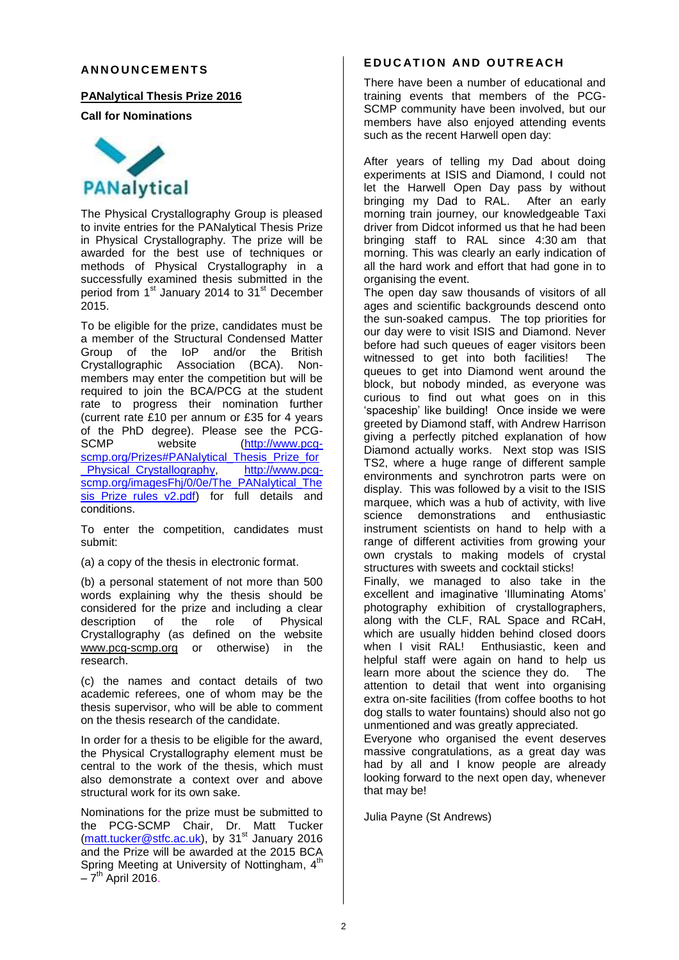## **AN N O U N C E M E N T S**

## **PANalytical Thesis Prize 2016**

**Call for Nominations**



The Physical Crystallography Group is pleased to invite entries for the PANalytical Thesis Prize in Physical Crystallography. The prize will be awarded for the best use of techniques or methods of Physical Crystallography in a successfully examined thesis submitted in the period from 1<sup>st</sup> January 2014 to 31<sup>st</sup> December 2015.

To be eligible for the prize, candidates must be a member of the Structural Condensed Matter Group of the IoP and/or the British Crystallographic Association (BCA). Nonmembers may enter the competition but will be required to join the BCA/PCG at the student rate to progress their nomination further (current rate £10 per annum or £35 for 4 years of the PhD degree). Please see the PCG-<br>SCMP website (http://www.pcq-website [\(http://www.pcg](https://owa.connect.kent.ac.uk/OWA/redir.aspx?C=PsjuO0Pr5kyGp5Tj6fogPwkvUallxdEI8OUDEuLFBAsMuCbo2w5V_UKxP90fNpPtyZcu40ZmkfA.&URL=http%3a%2f%2fwww.pcg-scmp.org%2fPrizes%23PANalytical_Thesis_Prize_for_Physical_Crystallography)[scmp.org/Prizes#PANalytical\\_Thesis\\_Prize\\_for](https://owa.connect.kent.ac.uk/OWA/redir.aspx?C=PsjuO0Pr5kyGp5Tj6fogPwkvUallxdEI8OUDEuLFBAsMuCbo2w5V_UKxP90fNpPtyZcu40ZmkfA.&URL=http%3a%2f%2fwww.pcg-scmp.org%2fPrizes%23PANalytical_Thesis_Prize_for_Physical_Crystallography)<br>Physical\_Crystallography.\_\_\_\_http://www.pcq-Physical Crystallography, [scmp.org/imagesFhj/0/0e/The\\_PANalytical\\_The](https://owa.connect.kent.ac.uk/OWA/redir.aspx?C=PsjuO0Pr5kyGp5Tj6fogPwkvUallxdEI8OUDEuLFBAsMuCbo2w5V_UKxP90fNpPtyZcu40ZmkfA.&URL=http%3a%2f%2fwww.pcg-scmp.org%2fimagesFhj%2f0%2f0e%2fThe_PANalytical_Thesis_Prize_rules_v2.pdf) sis Prize rules v2.pdf) for full details and conditions.

To enter the competition, candidates must submit:

(a) a copy of the thesis in electronic format.

(b) a personal statement of not more than 500 words explaining why the thesis should be considered for the prize and including a clear<br>description of the role of Physical description of the role of Physical Crystallography (as defined on the website [www.pcg-scmp.org](http://www.pcg-scmp.org/) or otherwise) in the research.

(c) the names and contact details of two academic referees, one of whom may be the thesis supervisor, who will be able to comment on the thesis research of the candidate.

In order for a thesis to be eligible for the award, the Physical Crystallography element must be central to the work of the thesis, which must also demonstrate a context over and above structural work for its own sake.

Nominations for the prize must be submitted to the PCG-SCMP Chair, Dr. Matt Tucker (matt.tucker@stfc.ac.uk), by 31<sup>st</sup> January 2016 and the Prize will be awarded at the 2015 BCA Spring Meeting at University of Nottingham, 4<sup>th</sup>  $-7<sup>th</sup>$  April 2016.

# **E D U C AT I O N AN D O U T R E AC H**

There have been a number of educational and training events that members of the PCG-SCMP community have been involved, but our members have also enjoyed attending events such as the recent Harwell open day:

After years of telling my Dad about doing experiments at ISIS and Diamond, I could not let the Harwell Open Day pass by without bringing my Dad to RAL. After an early morning train journey, our knowledgeable Taxi driver from Didcot informed us that he had been bringing staff to RAL since 4:30 am that morning. This was clearly an early indication of all the hard work and effort that had gone in to organising the event.

The open day saw thousands of visitors of all ages and scientific backgrounds descend onto the sun-soaked campus. The top priorities for our day were to visit ISIS and Diamond. Never before had such queues of eager visitors been witnessed to get into both facilities! The queues to get into Diamond went around the block, but nobody minded, as everyone was curious to find out what goes on in this 'spaceship' like building! Once inside we were greeted by Diamond staff, with Andrew Harrison giving a perfectly pitched explanation of how Diamond actually works. Next stop was ISIS TS2, where a huge range of different sample environments and synchrotron parts were on display. This was followed by a visit to the ISIS marquee, which was a hub of activity, with live science demonstrations and enthusiastic instrument scientists on hand to help with a range of different activities from growing your own crystals to making models of crystal structures with sweets and cocktail sticks!

Finally, we managed to also take in the excellent and imaginative 'Illuminating Atoms' photography exhibition of crystallographers, along with the CLF, RAL Space and RCaH, which are usually hidden behind closed doors when I visit RAL! Enthusiastic, keen and helpful staff were again on hand to help us learn more about the science they do. The attention to detail that went into organising extra on-site facilities (from coffee booths to hot dog stalls to water fountains) should also not go unmentioned and was greatly appreciated.

Everyone who organised the event deserves massive congratulations, as a great day was had by all and I know people are already looking forward to the next open day, whenever that may be!

Julia Payne (St Andrews)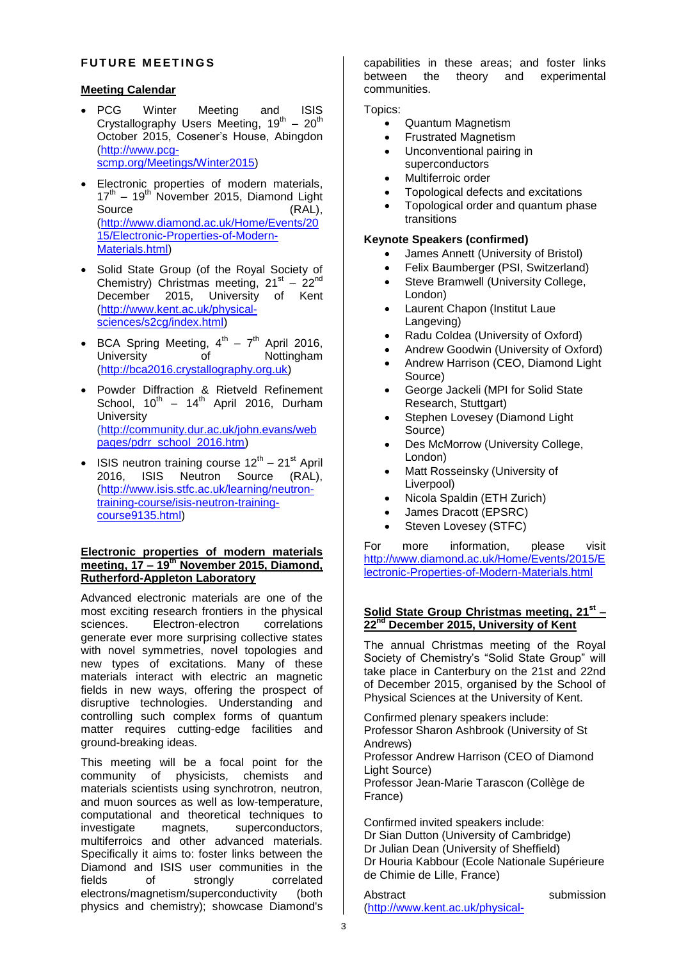# **FUTURE MEETINGS**

# **Meeting Calendar**

• PCG Winter Meeting and ISIS Crystallography Users Meeting,  $19^{th} - 20^{th}$ October 2015, Cosener's House, Abingdon (http://www.pcgscmp.org/Meetings/Winter2015)

Electronic properties of modern materials,

- 17<sup>th</sup> 19<sup>th</sup> November 2015, Diamond Light Source (RAL), (http://www.diamond.ac.uk/Home/Events/20 15/Electronic-Properties-of-Modern-Materials.html)
- Solid State Group (of the Royal Society of Chemistry) Christmas meeting,  $21<sup>st</sup> - 22<sup>nd</sup>$ December 2015, University of Kent (http://www.kent.ac.uk/physicalsciences/s2cg/index.html)
- BCA Spring Meeting,  $4^{th} 7^{th}$  April 2016, University of Nottingham (http://bca2016.crystallography.org.uk)
- Powder Diffraction & Rietveld Refinement School,  $10^{th}$  –  $14^{th}$  April 2016, Durham **University** [\(http://community.dur.ac.uk/john.evans/web](https://owa.connect.kent.ac.uk/OWA/redir.aspx?SURL=hEXJ4aS0BMwwt4P5aB4fqtA1VeHXoIRZ6VGLPX8xEQBjaanHS87SCGgAdAB0AHAAOgAvAC8AYwBvAG0AbQB1AG4AaQB0AHkALgBkAHUAcgAuAGEAYwAuAHUAawAvAGoAbwBoAG4ALgBlAHYAYQBuAHMALwB3AGUAYgBwAGEAZwBlAHMALwBwAGQAcgByAF8AcwBjAGgAbwBvAGwAXwAyADAAMQA2AC4AaAB0AG0A&URL=http%3a%2f%2fcommunity.dur.ac.uk%2fjohn.evans%2fwebpages%2fpdrr_school_2016.htm) [pages/pdrr\\_school\\_2016.htm\)](https://owa.connect.kent.ac.uk/OWA/redir.aspx?SURL=hEXJ4aS0BMwwt4P5aB4fqtA1VeHXoIRZ6VGLPX8xEQBjaanHS87SCGgAdAB0AHAAOgAvAC8AYwBvAG0AbQB1AG4AaQB0AHkALgBkAHUAcgAuAGEAYwAuAHUAawAvAGoAbwBoAG4ALgBlAHYAYQBuAHMALwB3AGUAYgBwAGEAZwBlAHMALwBwAGQAcgByAF8AcwBjAGgAbwBvAGwAXwAyADAAMQA2AC4AaAB0AG0A&URL=http%3a%2f%2fcommunity.dur.ac.uk%2fjohn.evans%2fwebpages%2fpdrr_school_2016.htm)
- ISIS neutron training course  $12^{th}$  21<sup>st</sup> April 2016, ISIS Neutron Source (RAL), (http://www.isis.stfc.ac.uk/learning/neutrontraining-course/isis-neutron-trainingcourse9135.html)

## **Electronic properties of modern materials meeting, 17 – 19th November 2015, Diamond, Rutherford-Appleton Laboratory**

Advanced electronic materials are one of the most exciting research frontiers in the physical sciences. Electron-electron correlations generate ever more surprising collective states with novel symmetries, novel topologies and new types of excitations. Many of these materials interact with electric an magnetic fields in new ways, offering the prospect of disruptive technologies. Understanding and controlling such complex forms of quantum matter requires cutting-edge facilities and ground-breaking ideas.

This meeting will be a focal point for the community of physicists, chemists and materials scientists using synchrotron, neutron, and muon sources as well as low-temperature, computational and theoretical techniques to investigate magnets, superconductors, multiferroics and other advanced materials. Specifically it aims to: foster links between the Diamond and ISIS user communities in the fields of strongly correlated electrons/magnetism/superconductivity (both physics and chemistry); showcase Diamond's

capabilities in these areas; and foster links between the theory and experimental communities.

Topics:

- Quantum Magnetism
- Frustrated Magnetism
- Unconventional pairing in superconductors
- Multiferroic order
- Topological defects and excitations
- Topological order and quantum phase transitions

## **Keynote Speakers (confirmed)**

- James Annett (University of Bristol)
- Felix Baumberger (PSI, Switzerland)
- Steve Bramwell (University College, London)
- Laurent Chapon (Institut Laue Langeving)
- Radu Coldea (University of Oxford)
- Andrew Goodwin (University of Oxford)
- Andrew Harrison (CEO, Diamond Light Source)
- George Jackeli (MPI for Solid State Research, Stuttgart)
- Stephen Lovesey (Diamond Light Source)
- Des McMorrow (University College, London)
- Matt Rosseinsky (University of Liverpool)
- Nicola Spaldin (ETH Zurich)
- James Dracott (EPSRC)
- Steven Lovesey (STFC)

For more information, please visit http://www.diamond.ac.uk/Home/Events/2015/E lectronic-Properties-of-Modern-Materials.html

## **Solid State Group Christmas meeting, 21st – 22nd December 2015, University of Kent**

The annual Christmas meeting of the Royal Society of Chemistry's "Solid State Group" will take place in Canterbury on the 21st and 22nd of December 2015, organised by the School of Physical Sciences at the University of Kent.

Confirmed plenary speakers include: Professor Sharon Ashbrook (University of St Andrews) Professor Andrew Harrison (CEO of Diamond

Light Source)

Professor Jean-Marie Tarascon (Collège de France)

Confirmed invited speakers include: Dr Sian Dutton (University of Cambridge) Dr Julian Dean (University of Sheffield) Dr Houria Kabbour (Ecole Nationale Supérieure de Chimie de Lille, France)

Abstract submission [\(http://www.kent.ac.uk/physical-](http://www.kent.ac.uk/physical-sciences/s2cg/abstracts.html)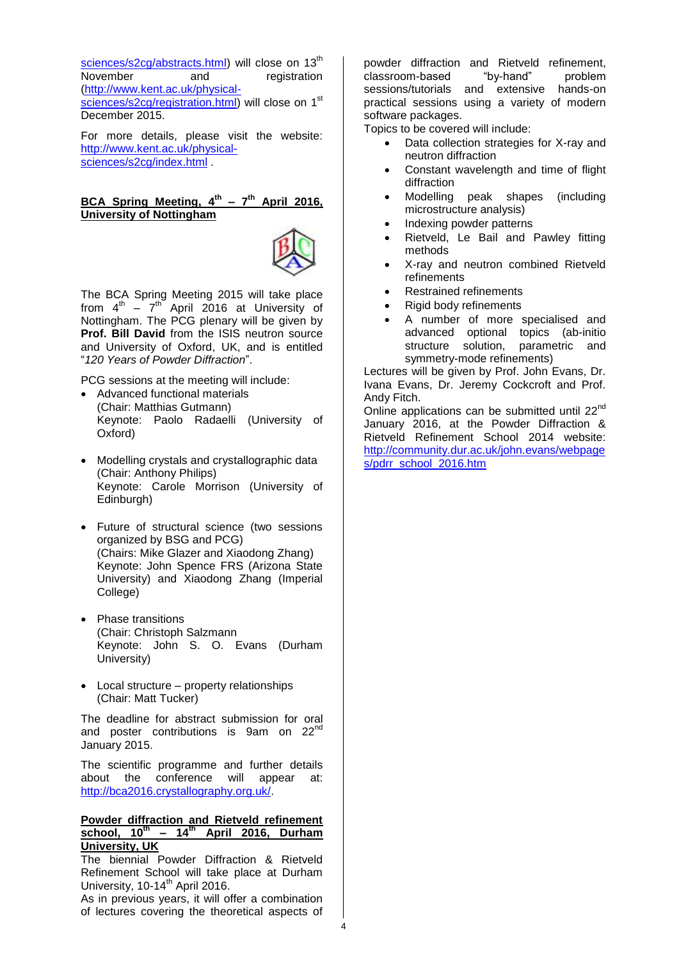[sciences/s2cg/abstracts.html\)](http://www.kent.ac.uk/physical-sciences/s2cg/abstracts.html) will close on 13<sup>th</sup> November and registration [\(http://www.kent.ac.uk/physical](http://www.kent.ac.uk/physical-sciences/s2cg/registration.html)[sciences/s2cg/registration.html\)](http://www.kent.ac.uk/physical-sciences/s2cg/registration.html) will close on 1<sup>st</sup> December 2015.

For more details, please visit the website: http://www.kent.ac.uk/physicalsciences/s2cg/index.html .

# **BCA Spring Meeting, 4 th – 7 th April 2016, University of Nottingham**



The BCA Spring Meeting 2015 will take place from  $4^{\text{th}}$  –  $7^{\text{th}}$  April 2016 at University of Nottingham. The PCG plenary will be given by **Prof. Bill David** from the ISIS neutron source and University of Oxford, UK, and is entitled "*120 Years of Powder Diffraction*".

PCG sessions at the meeting will include:

- Advanced functional materials (Chair: Matthias Gutmann) Keynote: Paolo Radaelli (University of Oxford)
- Modelling crystals and crystallographic data (Chair: Anthony Philips) Keynote: Carole Morrison (University of Edinburgh)
- Future of structural science (two sessions organized by BSG and PCG) (Chairs: Mike Glazer and Xiaodong Zhang) Keynote: John Spence FRS (Arizona State University) and Xiaodong Zhang (Imperial College)
- Phase transitions (Chair: Christoph Salzmann Keynote: John S. O. Evans (Durham University)
- Local structure property relationships (Chair: Matt Tucker)

The deadline for abstract submission for oral and poster contributions is 9am on 22<sup>nd</sup> January 2015.

The scientific programme and further details about the conference will appear at: http://bca2016.crystallography.org.uk/.

#### **Powder diffraction and Rietveld refinement school, 10th – 14th April 2016, Durham University, UK**

The biennial Powder Diffraction & Rietveld Refinement School will take place at Durham University,  $10-14^{\text{th}}$  April 2016.

As in previous years, it will offer a combination of lectures covering the theoretical aspects of

powder diffraction and Rietveld refinement, classroom-based "by-hand" problem sessions/tutorials and extensive hands-on practical sessions using a variety of modern software packages.

Topics to be covered will include:

- Data collection strategies for X-ray and neutron diffraction
- Constant wavelength and time of flight diffraction
- Modelling peak shapes (including microstructure analysis)
- Indexing powder patterns
- Rietveld, Le Bail and Pawley fitting methods
- X-ray and neutron combined Rietveld refinements
- Restrained refinements
- Rigid body refinements
- A number of more specialised and advanced optional topics (ab-initio structure solution, parametric and symmetry-mode refinements)

Lectures will be given by Prof. John Evans, Dr. Ivana Evans, Dr. Jeremy Cockcroft and Prof. Andy Fitch.

Online applications can be submitted until  $22<sup>nd</sup>$ January 2016, at the Powder Diffraction & Rietveld Refinement School 2014 website: [http://community.dur.ac.uk/john.evans/webpage](https://owa.connect.kent.ac.uk/OWA/redir.aspx?SURL=hEXJ4aS0BMwwt4P5aB4fqtA1VeHXoIRZ6VGLPX8xEQBjaanHS87SCGgAdAB0AHAAOgAvAC8AYwBvAG0AbQB1AG4AaQB0AHkALgBkAHUAcgAuAGEAYwAuAHUAawAvAGoAbwBoAG4ALgBlAHYAYQBuAHMALwB3AGUAYgBwAGEAZwBlAHMALwBwAGQAcgByAF8AcwBjAGgAbwBvAGwAXwAyADAAMQA2AC4AaAB0AG0A&URL=http%3a%2f%2fcommunity.dur.ac.uk%2fjohn.evans%2fwebpages%2fpdrr_school_2016.htm) [s/pdrr\\_school\\_2016.htm](https://owa.connect.kent.ac.uk/OWA/redir.aspx?SURL=hEXJ4aS0BMwwt4P5aB4fqtA1VeHXoIRZ6VGLPX8xEQBjaanHS87SCGgAdAB0AHAAOgAvAC8AYwBvAG0AbQB1AG4AaQB0AHkALgBkAHUAcgAuAGEAYwAuAHUAawAvAGoAbwBoAG4ALgBlAHYAYQBuAHMALwB3AGUAYgBwAGEAZwBlAHMALwBwAGQAcgByAF8AcwBjAGgAbwBvAGwAXwAyADAAMQA2AC4AaAB0AG0A&URL=http%3a%2f%2fcommunity.dur.ac.uk%2fjohn.evans%2fwebpages%2fpdrr_school_2016.htm)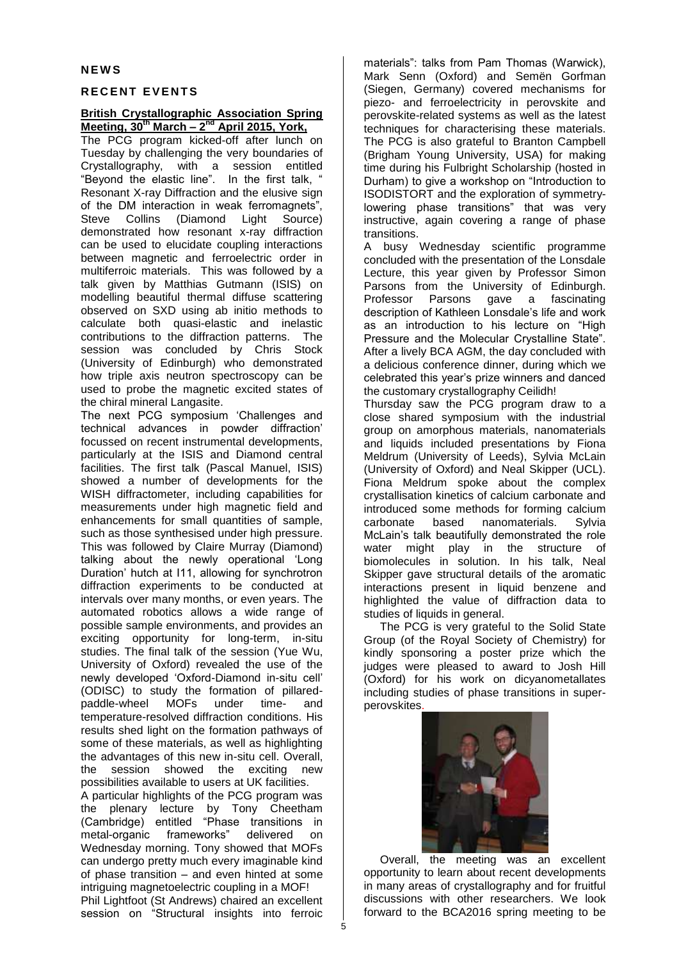## **N E W S**

# **R E C E N T E V E N T S**

# **British Crystallographic Association Spring Meeting, 30th March – 2 nd April 2015, York,**

The PCG program kicked-off after lunch on Tuesday by challenging the very boundaries of Crystallography, with a session entitled "Beyond the elastic line". In the first talk, " Resonant X-ray Diffraction and the elusive sign of the DM interaction in weak ferromagnets", Steve Collins (Diamond Light Source) demonstrated how resonant x-ray diffraction can be used to elucidate coupling interactions between magnetic and ferroelectric order in multiferroic materials. This was followed by a talk given by Matthias Gutmann (ISIS) on modelling beautiful thermal diffuse scattering observed on SXD using ab initio methods to calculate both quasi-elastic and inelastic contributions to the diffraction patterns. The session was concluded by Chris Stock (University of Edinburgh) who demonstrated how triple axis neutron spectroscopy can be used to probe the magnetic excited states of the chiral mineral Langasite.

The next PCG symposium 'Challenges and technical advances in powder diffraction' focussed on recent instrumental developments, particularly at the ISIS and Diamond central facilities. The first talk (Pascal Manuel, ISIS) showed a number of developments for the WISH diffractometer, including capabilities for measurements under high magnetic field and enhancements for small quantities of sample, such as those synthesised under high pressure. This was followed by Claire Murray (Diamond) talking about the newly operational 'Long Duration' hutch at I11, allowing for synchrotron diffraction experiments to be conducted at intervals over many months, or even years. The automated robotics allows a wide range of possible sample environments, and provides an exciting opportunity for long-term, in-situ studies. The final talk of the session (Yue Wu, University of Oxford) revealed the use of the newly developed 'Oxford-Diamond in-situ cell' (ODISC) to study the formation of pillaredpaddle-wheel MOFs under time- and temperature-resolved diffraction conditions. His results shed light on the formation pathways of some of these materials, as well as highlighting the advantages of this new in-situ cell. Overall, the session showed the exciting new possibilities available to users at UK facilities.

A particular highlights of the PCG program was the plenary lecture by Tony Cheetham (Cambridge) entitled "Phase transitions in metal-organic frameworks" delivered on Wednesday morning. Tony showed that MOFs can undergo pretty much every imaginable kind of phase transition – and even hinted at some intriguing magnetoelectric coupling in a MOF!

Phil Lightfoot (St Andrews) chaired an excellent session on "Structural insights into ferroic

materials": talks from Pam Thomas (Warwick), Mark Senn (Oxford) and Semën Gorfman (Siegen, Germany) covered mechanisms for piezo- and ferroelectricity in perovskite and perovskite-related systems as well as the latest techniques for characterising these materials. The PCG is also grateful to Branton Campbell (Brigham Young University, USA) for making time during his Fulbright Scholarship (hosted in Durham) to give a workshop on "Introduction to ISODISTORT and the exploration of symmetrylowering phase transitions" that was very instructive, again covering a range of phase transitions.

A busy Wednesday scientific programme concluded with the presentation of the Lonsdale Lecture, this year given by Professor Simon Parsons from the University of Edinburgh. Professor Parsons gave a fascinating description of Kathleen Lonsdale's life and work as an introduction to his lecture on "High Pressure and the Molecular Crystalline State". After a lively BCA AGM, the day concluded with a delicious conference dinner, during which we celebrated this year's prize winners and danced the customary crystallography Ceilidh!

Thursday saw the PCG program draw to a close shared symposium with the industrial group on amorphous materials, nanomaterials and liquids included presentations by Fiona Meldrum (University of Leeds), Sylvia McLain (University of Oxford) and Neal Skipper (UCL). Fiona Meldrum spoke about the complex crystallisation kinetics of calcium carbonate and introduced some methods for forming calcium carbonate based nanomaterials. Sylvia McLain's talk beautifully demonstrated the role water might play in the structure of biomolecules in solution. In his talk, Neal Skipper gave structural details of the aromatic interactions present in liquid benzene and highlighted the value of diffraction data to studies of liquids in general.

The PCG is very grateful to the Solid State Group (of the Royal Society of Chemistry) for kindly sponsoring a poster prize which the judges were pleased to award to Josh Hill (Oxford) for his work on dicyanometallates including studies of phase transitions in superperovskites.



Overall, the meeting was an excellent opportunity to learn about recent developments in many areas of crystallography and for fruitful discussions with other researchers. We look forward to the BCA2016 spring meeting to be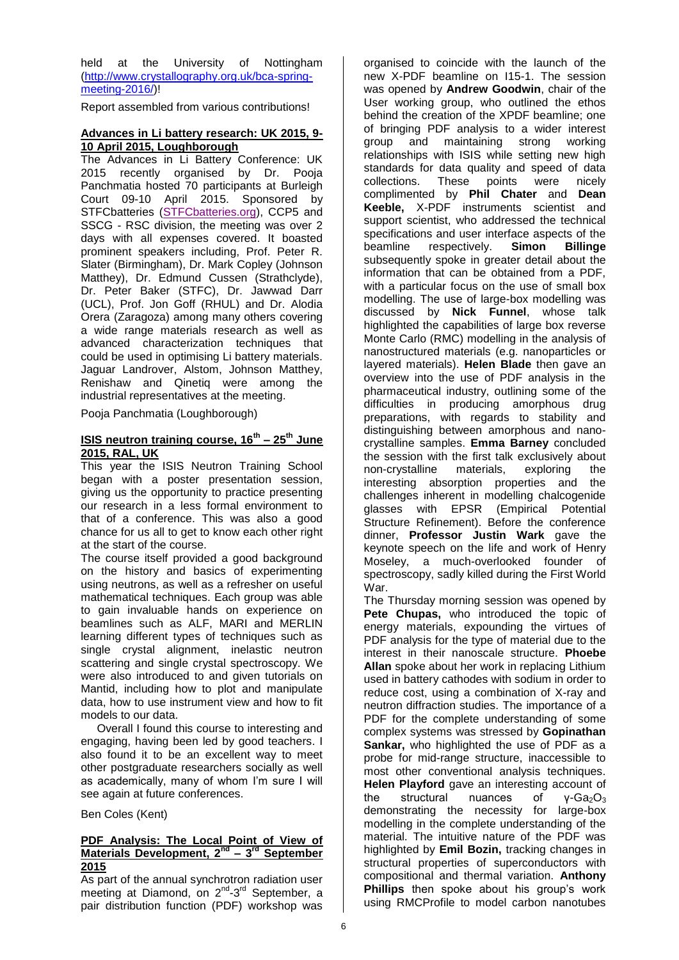held at the University of Nottingham (http://www.crystallography.org.uk/bca-springmeeting-2016/)!

Report assembled from various contributions!

## **Advances in Li battery research: UK 2015, 9- 10 April 2015, Loughborough**

The Advances in Li Battery Conference: UK 2015 recently organised by Dr. Pooja Panchmatia hosted 70 participants at Burleigh Court 09-10 April 2015. Sponsored by STFCbatteries [\(STFCbatteries.org\)](https://owa.connect.kent.ac.uk/OWA/redir.aspx?SURL=z2Dj6F5QUXIFZP0KvqpDs9nyb7EBSzRNoH8JLW1uJtsBrUp-S87SCGgAdAB0AHAAOgAvAC8AcwB0AGYAYwBiAGEAdAB0AGUAcgBpAGUAcwAuAG8AcgBnAC8A&URL=http%3a%2f%2fstfcbatteries.org%2f), CCP5 and SSCG - RSC division, the meeting was over 2 days with all expenses covered. It boasted prominent speakers including, Prof. Peter R. Slater (Birmingham), Dr. Mark Copley (Johnson Matthey), Dr. Edmund Cussen (Strathclyde), Dr. Peter Baker (STFC), Dr. Jawwad Darr (UCL), Prof. Jon Goff (RHUL) and Dr. Alodia Orera (Zaragoza) among many others covering a wide range materials research as well as advanced characterization techniques that could be used in optimising Li battery materials. Jaguar Landrover, Alstom, Johnson Matthey, Renishaw and Qinetiq were among the industrial representatives at the meeting.

Pooja Panchmatia (Loughborough)

## **ISIS neutron training course, 16 th – 25th June 2015, RAL, UK**

This year the ISIS Neutron Training School began with a poster presentation session, giving us the opportunity to practice presenting our research in a less formal environment to that of a conference. This was also a good chance for us all to get to know each other right at the start of the course.

The course itself provided a good background on the history and basics of experimenting using neutrons, as well as a refresher on useful mathematical techniques. Each group was able to gain invaluable hands on experience on beamlines such as ALF, MARI and MERLIN learning different types of techniques such as single crystal alignment, inelastic neutron scattering and single crystal spectroscopy. We were also introduced to and given tutorials on Mantid, including how to plot and manipulate data, how to use instrument view and how to fit models to our data.

Overall I found this course to interesting and engaging, having been led by good teachers. I also found it to be an excellent way to meet other postgraduate researchers socially as well as academically, many of whom I'm sure I will see again at future conferences.

Ben Coles (Kent)

## **PDF Analysis: The Local Point of View of Materials Development, 2nd – 3 rd September 2015**

As part of the annual synchrotron radiation user meeting at Diamond, on 2<sup>nd</sup>-3<sup>rd</sup> September, a pair distribution function (PDF) workshop was

organised to coincide with the launch of the new X-PDF beamline on I15-1. The session was opened by **Andrew Goodwin**, chair of the User working group, who outlined the ethos behind the creation of the XPDF beamline; one of bringing PDF analysis to a wider interest group and maintaining strong working relationships with ISIS while setting new high standards for data quality and speed of data collections. These points were nicely complimented by **Phil Chater** and **Dean Keeble,** X-PDF instruments scientist and support scientist, who addressed the technical specifications and user interface aspects of the<br>beamline respectively. **Simon Billinge** beamline respectively. **Simon Billinge**  subsequently spoke in greater detail about the information that can be obtained from a PDF, with a particular focus on the use of small box modelling. The use of large-box modelling was discussed by **Nick Funnel**, whose talk highlighted the capabilities of large box reverse Monte Carlo (RMC) modelling in the analysis of nanostructured materials (e.g. nanoparticles or layered materials). **Helen Blade** then gave an overview into the use of PDF analysis in the pharmaceutical industry, outlining some of the difficulties in producing amorphous drug preparations, with regards to stability and distinguishing between amorphous and nanocrystalline samples. **Emma Barney** concluded the session with the first talk exclusively about non-crystalline materials, exploring the interesting absorption properties and the challenges inherent in modelling chalcogenide glasses with EPSR (Empirical Potential Structure Refinement). Before the conference dinner, **Professor Justin Wark** gave the keynote speech on the life and work of Henry Moseley, a much-overlooked founder of spectroscopy, sadly killed during the First World War.

The Thursday morning session was opened by **Pete Chupas,** who introduced the topic of energy materials, expounding the virtues of PDF analysis for the type of material due to the interest in their nanoscale structure. **Phoebe Allan** spoke about her work in replacing Lithium used in battery cathodes with sodium in order to reduce cost, using a combination of X-ray and neutron diffraction studies. The importance of a PDF for the complete understanding of some complex systems was stressed by **Gopinathan Sankar,** who highlighted the use of PDF as a probe for mid-range structure, inaccessible to most other conventional analysis techniques. **Helen Playford** gave an interesting account of the structural nuances of  $v$ -Ga<sub>2</sub>O<sub>3</sub> demonstrating the necessity for large-box modelling in the complete understanding of the material. The intuitive nature of the PDF was highlighted by **Emil Bozin,** tracking changes in structural properties of superconductors with compositional and thermal variation. **Anthony Phillips** then spoke about his group's work using RMCProfile to model carbon nanotubes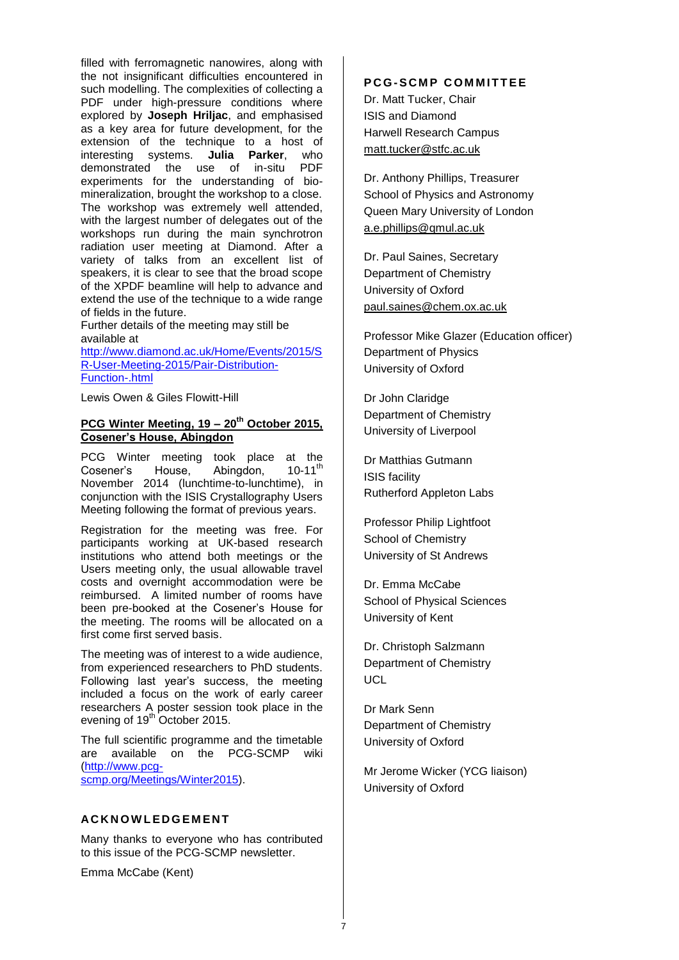filled with ferromagnetic nanowires, along with the not insignificant difficulties encountered in such modelling. The complexities of collecting a PDF under high-pressure conditions where explored by **Joseph Hriljac**, and emphasised as a key area for future development, for the extension of the technique to a host of interesting systems. **Julia Parker**, who demonstrated the use of in-situ PDF experiments for the understanding of biomineralization, brought the workshop to a close. The workshop was extremely well attended, with the largest number of delegates out of the workshops run during the main synchrotron radiation user meeting at Diamond. After a variety of talks from an excellent list of speakers, it is clear to see that the broad scope of the XPDF beamline will help to advance and extend the use of the technique to a wide range of fields in the future.

Further details of the meeting may still be available at

[http://www.diamond.ac.uk/Home/Events/2015/S](http://www.diamond.ac.uk/Home/Events/2015/SR-User-Meeting-2015/Pair-Distribution-Function-.html) [R-User-Meeting-2015/Pair-Distribution-](http://www.diamond.ac.uk/Home/Events/2015/SR-User-Meeting-2015/Pair-Distribution-Function-.html)[Function-.html](http://www.diamond.ac.uk/Home/Events/2015/SR-User-Meeting-2015/Pair-Distribution-Function-.html)

Lewis Owen & Giles Flowitt-Hill

# **PCG Winter Meeting, 19 – 20th October 2015, Cosener's House, Abingdon**

PCG Winter meeting took place at the Cosener's House, Abingdon, 10-11<sup>th</sup> November 2014 (lunchtime-to-lunchtime), in conjunction with the ISIS Crystallography Users Meeting following the format of previous years.

Registration for the meeting was free. For participants working at UK-based research institutions who attend both meetings or the Users meeting only, the usual allowable travel costs and overnight accommodation were be reimbursed. A limited number of rooms have been pre-booked at the Cosener's House for the meeting. The rooms will be allocated on a first come first served basis.

The meeting was of interest to a wide audience, from experienced researchers to PhD students. Following last year's success, the meeting included a focus on the work of early career researchers A poster session took place in the evening of 19<sup>th</sup> October 2015.

The full scientific programme and the timetable are available on the PCG-SCMP wiki (http://www.pcgscmp.org/Meetings/Winter2015).

# **AC K N O W L E D G E M E N T**

Many thanks to everyone who has contributed to this issue of the PCG-SCMP newsletter.

Emma McCabe (Kent)

# **PCG-SCMP COMMITTEE** Dr. Matt Tucker, Chair ISIS and Diamond

Harwell Research Campus [matt.tucker@stfc.ac.uk](mailto:ivana.radosavljevic@durham.ac.uk)

Dr. Anthony Phillips, Treasurer School of Physics and Astronomy Queen Mary University of London [a.e.phillips@qmul.ac.uk](mailto:j.b.claridge@liverpool.ac.uk)

Dr. Paul Saines, Secretary Department of Chemistry University of Oxford [paul.saines@chem.ox.ac.uk](mailto:paul.saines@chem.ox.ac.uk)

Professor Mike Glazer (Education officer) Department of Physics University of Oxford

Dr John Claridge Department of Chemistry University of Liverpool

Dr Matthias Gutmann ISIS facility Rutherford Appleton Labs

Professor Philip Lightfoot School of Chemistry University of St Andrews

Dr. Emma McCabe School of Physical Sciences University of Kent

Dr. Christoph Salzmann Department of Chemistry **UCL** 

Dr Mark Senn Department of Chemistry University of Oxford

Mr Jerome Wicker (YCG liaison) University of Oxford